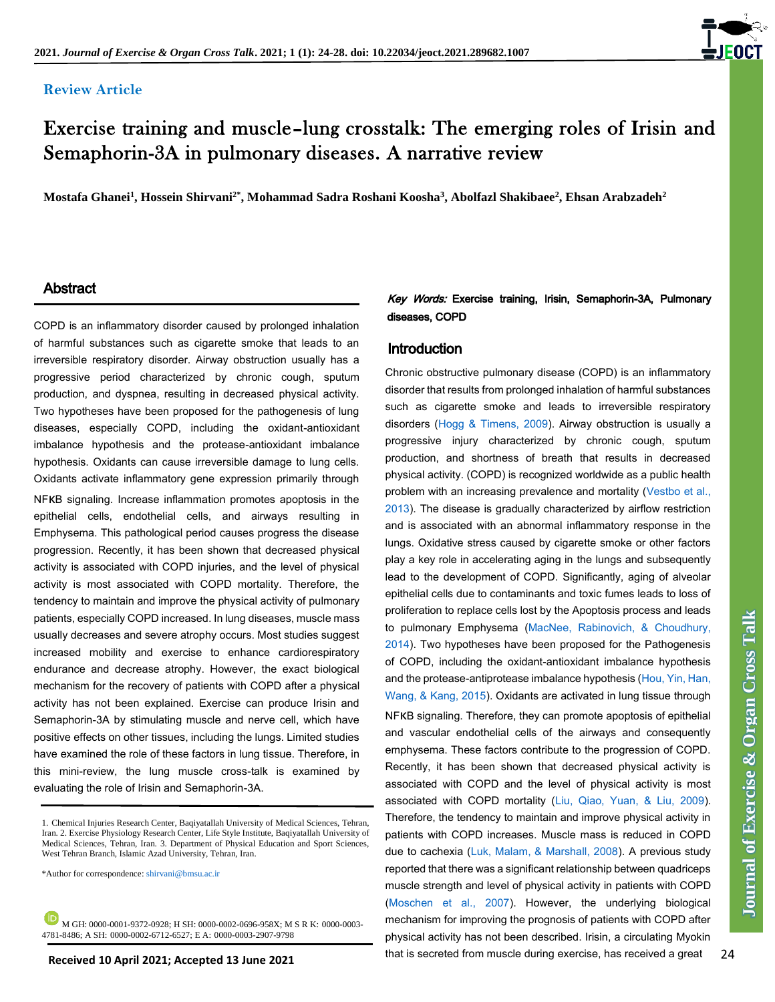#### **Review Article**



# Exercise training and muscle–lung crosstalk: The emerging roles of Irisin and Semaphorin-3A in pulmonary diseases. A narrative review

**Mostafa Ghanei<sup>1</sup> , Hossein Shirvani2\* , Mohammad Sadra Roshani Koosha<sup>3</sup> , Abolfazl Shakibaee<sup>2</sup> , Ehsan Arabzadeh<sup>2</sup>**

#### **Abstract**

COPD is an inflammatory disorder caused by prolonged inhalation of harmful substances such as cigarette smoke that leads to an irreversible respiratory disorder. Airway obstruction usually has a progressive period characterized by chronic cough, sputum production, and dyspnea, resulting in decreased physical activity. Two hypotheses have been proposed for the pathogenesis of lung diseases, especially COPD, including the oxidant-antioxidant imbalance hypothesis and the protease-antioxidant imbalance hypothesis. Oxidants can cause irreversible damage to lung cells. Oxidants activate inflammatory gene expression primarily through NFκB signaling. Increase inflammation promotes apoptosis in the epithelial cells, endothelial cells, and airways resulting in Emphysema. This pathological period causes progress the disease progression. Recently, it has been shown that decreased physical activity is associated with COPD injuries, and the level of physical activity is most associated with COPD mortality. Therefore, the tendency to maintain and improve the physical activity of pulmonary patients, especially COPD increased. In lung diseases, muscle mass usually decreases and severe atrophy occurs. Most studies suggest increased mobility and exercise to enhance cardiorespiratory endurance and decrease atrophy. However, the exact biological mechanism for the recovery of patients with COPD after a physical activity has not been explained. Exercise can produce Irisin and Semaphorin-3A by stimulating muscle and nerve cell, which have positive effects on other tissues, including the lungs. Limited studies have examined the role of these factors in lung tissue. Therefore, in this mini-review, the lung muscle cross-talk is examined by evaluating the role of Irisin and Semaphorin-3A.

\*Author for correspondence[: shirvani@bmsu.ac.ir](mailto:shirvani@bmsu.ac.ir)

**M** GH: 0000-0001-9372-0928; H SH: 0000-0002-0696-958X; M S R K: 0000-0003-4781-8486; A SH: 0000-0002-6712-6527; E A: 0000-0003-2907-9798

#### Key Words: Exercise training, Irisin, Semaphorin-3A, Pulmonary diseases, COPD

#### **Introduction**

Chronic obstructive pulmonary disease (COPD) is an inflammatory disorder that results from prolonged inhalation of harmful substances such as cigarette smoke and leads to irreversible respiratory disorders [\(Hogg & Timens, 2009\)](#page-3-0). Airway obstruction is usually a progressive injury characterized by chronic cough, sputum production, and shortness of breath that results in decreased physical activity. (COPD) is recognized worldwide as a public health problem with an increasing prevalence and mortality [\(Vestbo et al.,](#page-3-0)  [2013\)](#page-3-0). The disease is gradually characterized by airflow restriction and is associated with an abnormal inflammatory response in the lungs. Oxidative stress caused by cigarette smoke or other factors play a key role in accelerating aging in the lungs and subsequently lead to the development of COPD. Significantly, aging of alveolar epithelial cells due to contaminants and toxic fumes leads to loss of proliferation to replace cells lost by the Apoptosis process and leads to pulmonary Emphysema [\(MacNee, Rabinovich, & Choudhury,](#page-3-0)  [2014\)](#page-3-0). Two hypotheses have been proposed for the Pathogenesis of COPD, including the oxidant-antioxidant imbalance hypothesis and the protease-antiprotease imbalance hypothesis [\(Hou, Yin, Han,](#page-3-0)  [Wang, & Kang, 2015\)](#page-3-0). Oxidants are activated in lung tissue through NFκB signaling. Therefore, they can promote apoptosis of epithelial and vascular endothelial cells of the airways and consequently emphysema. These factors contribute to the progression of COPD. Recently, it has been shown that decreased physical activity is associated with COPD and the level of physical activity is most associated with COPD mortality [\(Liu, Qiao, Yuan, & Liu, 2009\)](#page-3-0). Therefore, the tendency to maintain and improve physical activity in patients with COPD increases. Muscle mass is reduced in COPD due to cachexia [\(Luk, Malam, & Marshall, 2008\)](#page-3-0). A previous study reported that there was a significant relationship between quadriceps muscle strength and level of physical activity in patients with COPD [\(Moschen et al., 2007\)](#page-3-0). However, the underlying biological mechanism for improving the prognosis of patients with COPD after physical activity has not been described. Irisin, a circulating Myokin that is secreted from muscle during exercise, has received a great

<sup>1.</sup> Chemical Injuries Research Center, Baqiyatallah University of Medical Sciences, Tehran, Iran. 2. Exercise Physiology Research Center, Life Style Institute, Baqiyatallah University of Medical Sciences, Tehran, Iran. 3. Department of Physical Education and Sport Sciences, West Tehran Branch, Islamic Azad University, Tehran, Iran.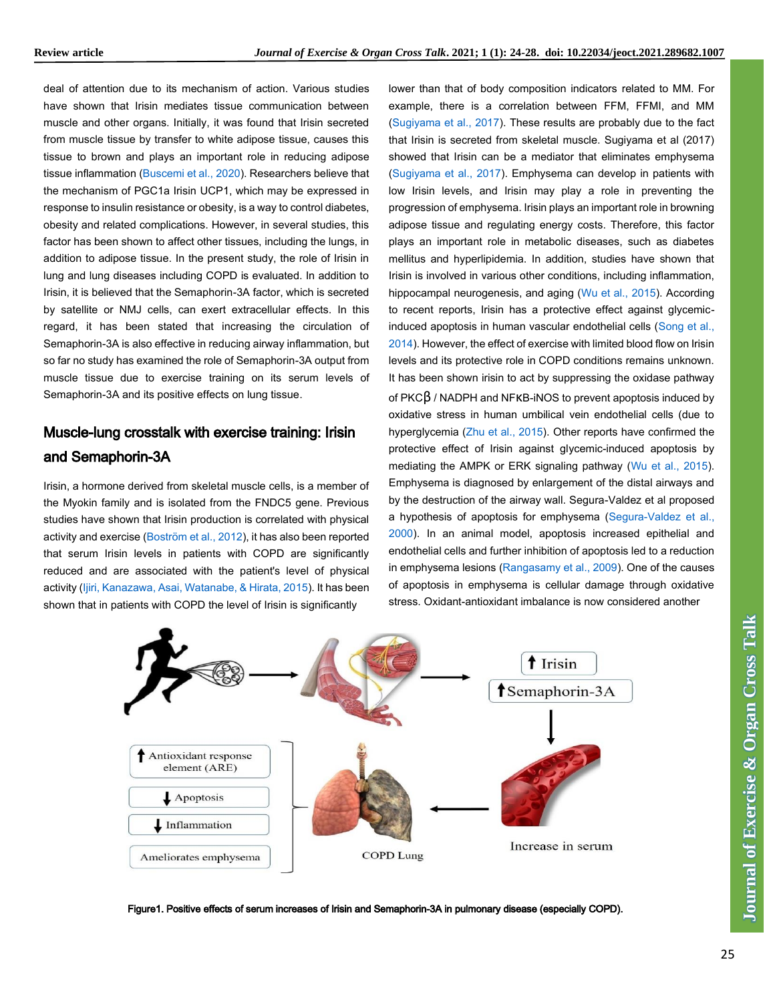deal of attention due to its mechanism of action. Various studies have shown that Irisin mediates tissue communication between muscle and other organs. Initially, it was found that Irisin secreted from muscle tissue by transfer to white adipose tissue, causes this tissue to brown and plays an important role in reducing adipose tissue inflammation [\(Buscemi et al., 2020\)](#page-3-0). Researchers believe that the mechanism of PGC1a Irisin UCP1, which may be expressed in response to insulin resistance or obesity, is a way to control diabetes, obesity and related complications. However, in several studies, this factor has been shown to affect other tissues, including the lungs, in addition to adipose tissue. In the present study, the role of Irisin in lung and lung diseases including COPD is evaluated. In addition to Irisin, it is believed that the Semaphorin-3A factor, which is secreted by satellite or NMJ cells, can exert extracellular effects. In this regard, it has been stated that increasing the circulation of Semaphorin-3A is also effective in reducing airway inflammation, but so far no study has examined the role of Semaphorin-3A output from muscle tissue due to exercise training on its serum levels of Semaphorin-3A and its positive effects on lung tissue.

# Muscle-lung crosstalk with exercise training: Irisin and Semaphorin-3A

Irisin, a hormone derived from skeletal muscle cells, is a member of the Myokin family and is isolated from the FNDC5 gene. Previous studies have shown that Irisin production is correlated with physical activity and exercise [\(Boström et al., 2012\)](#page-3-0), it has also been reported that serum Irisin levels in patients with COPD are significantly reduced and are associated with the patient's level of physical activity [\(Ijiri, Kanazawa, Asai, Watanabe, & Hirata, 2015\)](#page-3-0). It has been shown that in patients with COPD the level of Irisin is significantly

How the the state is viewe between low-a count the first term is contained to the state in the state is the state in the state in the state is the state in the state in the state in the state is the state in the state in lower than that of body composition indicators related to MM. For example, there is a correlation between FFM, FFMI, and MM [\(Sugiyama et al., 2017\)](#page-3-0). These results are probably due to the fact that Irisin is secreted from skeletal muscle. Sugiyama et al (2017) showed that Irisin can be a mediator that eliminates emphysema [\(Sugiyama et al., 2017\)](#page-3-0). Emphysema can develop in patients with low Irisin levels, and Irisin may play a role in preventing the progression of emphysema. Irisin plays an important role in browning adipose tissue and regulating energy costs. Therefore, this factor plays an important role in metabolic diseases, such as diabetes mellitus and hyperlipidemia. In addition, studies have shown that Irisin is involved in various other conditions, including inflammation, hippocampal neurogenesis, and aging [\(Wu et al., 2015\)](#page-3-0). According to recent reports, Irisin has a protective effect against glycemicinduced apoptosis in human vascular endothelial cells [\(Song et al.,](#page-3-0)  [2014\)](#page-3-0). However, the effect of exercise with limited blood flow on Irisin levels and its protective role in COPD conditions remains unknown. It has been shown irisin to act by suppressing the oxidase pathway of PKCβ / NADPH and NFκB-iNOS to prevent apoptosis induced by oxidative stress in human umbilical vein endothelial cells (due to hyperglycemia [\(Zhu et al., 2015\)](#page-3-0). Other reports have confirmed the protective effect of Irisin against glycemic-induced apoptosis by mediating the AMPK or ERK signaling pathway [\(Wu et al., 2015\)](#page-3-0). Emphysema is diagnosed by enlargement of the distal airways and by the destruction of the airway wall. Segura-Valdez et al proposed a hypothesis of apoptosis for emphysema [\(Segura-Valdez et al.,](#page-3-0)  [2000\)](#page-3-0). In an animal model, apoptosis increased epithelial and endothelial cells and further inhibition of apoptosis led to a reduction in emphysema lesions [\(Rangasamy et al., 2009\)](#page-3-0). One of the causes of apoptosis in emphysema is cellular damage through oxidative stress. Oxidant-antioxidant imbalance is now considered another



Figure1. Positive effects of serum increases of Irisin and Semaphorin-3A in pulmonary disease (especially COPD).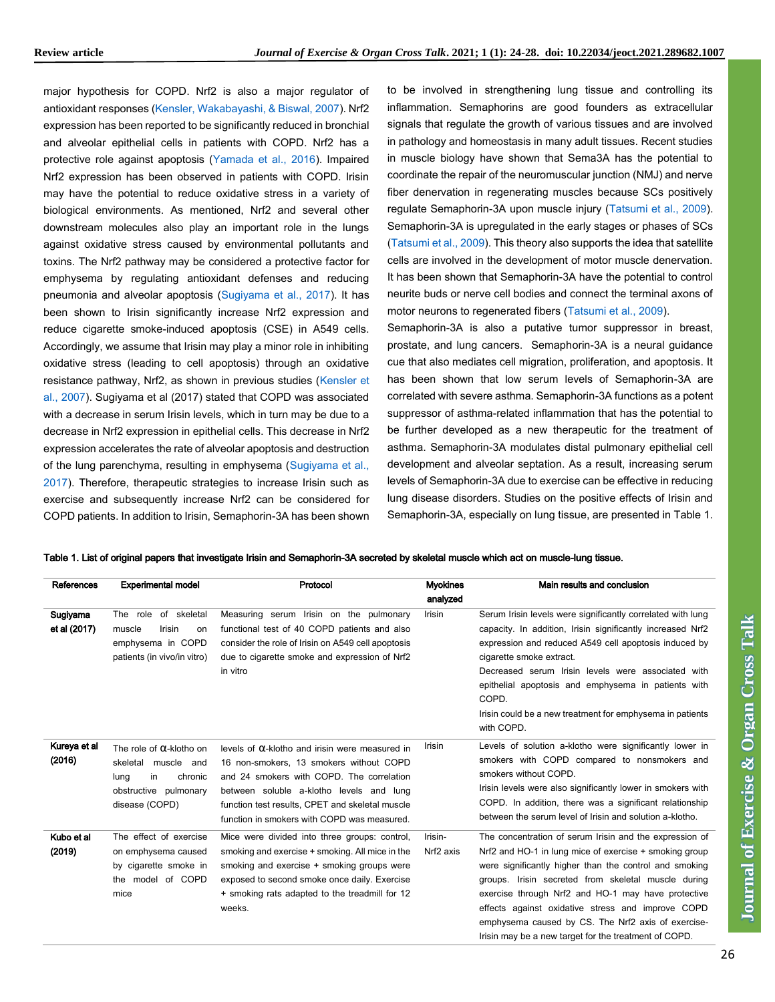major hypothesis for COPD. Nrf2 is also a major regulator of antioxidant responses [\(Kensler, Wakabayashi, & Biswal, 2007\)](#page-3-0). Nrf2 expression has been reported to be significantly reduced in bronchial and alveolar epithelial cells in patients with COPD. Nrf2 has a protective role against apoptosis [\(Yamada et al., 2016\)](#page-3-0). Impaired Nrf2 expression has been observed in patients with COPD. Irisin may have the potential to reduce oxidative stress in a variety of biological environments. As mentioned, Nrf2 and several other downstream molecules also play an important role in the lungs against oxidative stress caused by environmental pollutants and toxins. The Nrf2 pathway may be considered a protective factor for emphysema by regulating antioxidant defenses and reducing pneumonia and alveolar apoptosis [\(Sugiyama et al., 2017\)](#page-3-0). It has been shown to Irisin significantly increase Nrf2 expression and reduce cigarette smoke-induced apoptosis (CSE) in A549 cells. Accordingly, we assume that Irisin may play a minor role in inhibiting oxidative stress (leading to cell apoptosis) through an oxidative resistance pathway, Nrf2, as shown in previous studies [\(Kensler et](#page-3-0)  [al., 2007\)](#page-3-0). Sugiyama et al (2017) stated that COPD was associated with a decrease in serum Irisin levels, which in turn may be due to a decrease in Nrf2 expression in epithelial cells. This decrease in Nrf2 expression accelerates the rate of alveolar apoptosis and destruction of the lung parenchyma, resulting in emphysema [\(Sugiyama et al.,](#page-3-0)  [2017\)](#page-3-0). Therefore, therapeutic strategies to increase Irisin such as exercise and subsequently increase Nrf2 can be considered for COPD patients. In addition to Irisin, Semaphorin-3A has been shown

disease (COPD)

mice

The effect of exercise on emphysema caused by cigarette smoke in the model of COPD

weeks.

Kubo et al (2019)

I

to be involved in strengthening lung tissue and controlling its inflammation. Semaphorins are good founders as extracellular signals that regulate the growth of various tissues and are involved in pathology and homeostasis in many adult tissues. Recent studies in muscle biology have shown that Sema3A has the potential to coordinate the repair of the neuromuscular junction (NMJ) and nerve fiber denervation in regenerating muscles because SCs positively regulate Semaphorin-3A upon muscle injury [\(Tatsumi et al., 2009\)](#page-3-0). Semaphorin-3A is upregulated in the early stages or phases of SCs [\(Tatsumi et al., 2009\)](#page-3-0). This theory also supports the idea that satellite cells are involved in the development of motor muscle denervation. It has been shown that Semaphorin-3A have the potential to control neurite buds or nerve cell bodies and connect the terminal axons of motor neurons to regenerated fibers [\(Tatsumi et al., 2009\)](#page-3-0).

Semaphorin-3A is also a putative tumor suppressor in breast, prostate, and lung cancers. Semaphorin-3A is a neural guidance cue that also mediates cell migration, proliferation, and apoptosis. It has been shown that low serum levels of Semaphorin-3A are correlated with severe asthma. Semaphorin-3A functions as a potent suppressor of asthma-related inflammation that has the potential to be further developed as a new therapeutic for the treatment of asthma. Semaphorin-3A modulates distal pulmonary epithelial cell development and alveolar septation. As a result, increasing serum levels of Semaphorin-3A due to exercise can be effective in reducing lung disease disorders. Studies on the positive effects of Irisin and Semaphorin-3A, especially on lung tissue, are presented in Table 1.

| References               | <b>Experimental model</b>                                                                                         | Protocol                                                                                                                                                                                                   | <b>M</b> vokines<br>analyzed | Main results and conclusion                                                                                                                                                                                                                                                                                                                                                                                     |
|--------------------------|-------------------------------------------------------------------------------------------------------------------|------------------------------------------------------------------------------------------------------------------------------------------------------------------------------------------------------------|------------------------------|-----------------------------------------------------------------------------------------------------------------------------------------------------------------------------------------------------------------------------------------------------------------------------------------------------------------------------------------------------------------------------------------------------------------|
| Sugiyama<br>et al (2017) | of skeletal<br>role<br>The<br><b>Irisin</b><br>muscle<br>on<br>emphysema in COPD<br>patients (in vivo/in vitro)   | Measuring serum Irisin on the pulmonary<br>functional test of 40 COPD patients and also<br>consider the role of Irisin on A549 cell apoptosis<br>due to cigarette smoke and expression of Nrf2<br>in vitro | <b>Irisin</b>                | Serum Irisin levels were significantly correlated with lung<br>capacity. In addition, Irisin significantly increased Nrf2<br>expression and reduced A549 cell apoptosis induced by<br>cigarette smoke extract.<br>Decreased serum Irisin levels were associated with<br>epithelial apoptosis and emphysema in patients with<br>COPD.<br>Irisin could be a new treatment for emphysema in patients<br>with COPD. |
| Kureya et al<br>(2016)   | The role of $\alpha$ -klotho on<br>muscle<br>skeletal<br>and<br>in<br>chronic<br>lung<br>obstructive<br>pulmonary | levels of $\alpha$ -klotho and irisin were measured in<br>16 non-smokers, 13 smokers without COPD<br>and 24 smokers with COPD. The correlation<br>between soluble a-klotho levels and lung                 | <b>Irisin</b>                | Levels of solution a-klotho were significantly lower in<br>smokers with COPD compared to nonsmokers and<br>smokers without COPD.<br>Irisin levels were also significantly lower in smokers with                                                                                                                                                                                                                 |

Irisin-Nrf2 axis

|  | Table 1. List of original papers that investigate Irisin and Semaphorin-3A secreted by skeletal muscle which act on muscle-lung tissue. |  |
|--|-----------------------------------------------------------------------------------------------------------------------------------------|--|
|  |                                                                                                                                         |  |

function test results, CPET and skeletal muscle function in smokers with COPD was measured.

Mice were divided into three groups: control, smoking and exercise + smoking. All mice in the smoking and exercise + smoking groups were exposed to second smoke once daily. Exercise + smoking rats adapted to the treadmill for 12

| Irisin levels were also significantly lower in smokers with |
|-------------------------------------------------------------|
| COPD. In addition, there was a significant relationship     |
| between the serum level of Irisin and solution a-klotho.    |
|                                                             |

The concentration of serum Irisin and the expression of Nrf2 and HO-1 in lung mice of exercise + smoking group were significantly higher than the control and smoking groups. Irisin secreted from skeletal muscle during exercise through Nrf2 and HO-1 may have protective effects against oxidative stress and improve COPD emphysema caused by CS. The Nrf2 axis of exercise-Irisin may be a new target for the treatment of COPD.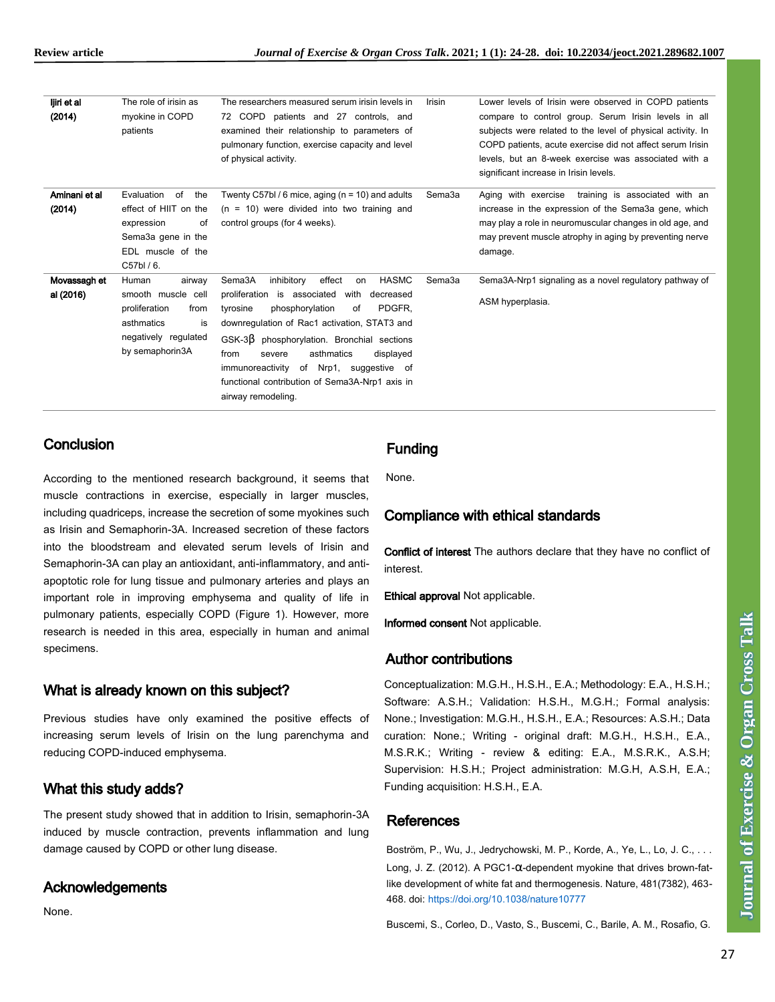| ljiri et al<br>(2014)     | The role of irisin as<br>myokine in COPD<br>patients                                                                          | The researchers measured serum irisin levels in<br>72 COPD patients and 27 controls, and<br>examined their relationship to parameters of<br>pulmonary function, exercise capacity and level<br>of physical activity.                                                                                                                                                                                                              | Irisin | Lower levels of Irisin were observed in COPD patients<br>compare to control group. Serum Irisin levels in all<br>subjects were related to the level of physical activity. In<br>COPD patients, acute exercise did not affect serum Irisin<br>levels, but an 8-week exercise was associated with a<br>significant increase in Irisin levels. |
|---------------------------|-------------------------------------------------------------------------------------------------------------------------------|-----------------------------------------------------------------------------------------------------------------------------------------------------------------------------------------------------------------------------------------------------------------------------------------------------------------------------------------------------------------------------------------------------------------------------------|--------|---------------------------------------------------------------------------------------------------------------------------------------------------------------------------------------------------------------------------------------------------------------------------------------------------------------------------------------------|
| Aminani et al<br>(2014)   | Evaluation<br>the<br>of<br>effect of HIIT on the<br>expression<br>of<br>Sema3a gene in the<br>EDL muscle of the<br>C57bl / 6. | Twenty C57bl / 6 mice, aging ( $n = 10$ ) and adults<br>$(n = 10)$ were divided into two training and<br>control groups (for 4 weeks).                                                                                                                                                                                                                                                                                            | Sema3a | training is associated with an<br>Aging with exercise<br>increase in the expression of the Sema3a gene, which<br>may play a role in neuromuscular changes in old age, and<br>may prevent muscle atrophy in aging by preventing nerve<br>damage.                                                                                             |
| Movassagh et<br>al (2016) | Human<br>airway<br>smooth muscle cell<br>proliferation<br>from<br>asthmatics<br>is<br>negatively regulated<br>by semaphorin3A | <b>HASMC</b><br>effect<br>Sema3A<br>inhibitory<br>on<br>proliferation<br>is associated<br>with<br>decreased<br>PDGFR.<br>phosphorylation<br>tyrosine<br>0f<br>downregulation of Rac1 activation, STAT3 and<br>$GSK-3\beta$ phosphorylation. Bronchial sections<br>asthmatics<br>from<br>displayed<br>severe<br>immunoreactivity of Nrp1,<br>suggestive of<br>functional contribution of Sema3A-Nrp1 axis in<br>airway remodeling. | Sema3a | Sema3A-Nrp1 signaling as a novel regulatory pathway of<br>ASM hyperplasia.                                                                                                                                                                                                                                                                  |

# **Conclusion**

Ī

According to the mentioned research background, it seems that muscle contractions in exercise, especially in larger muscles, including quadriceps, increase the secretion of some myokines such as Irisin and Semaphorin-3A. Increased secretion of these factors into the bloodstream and elevated serum levels of Irisin and Semaphorin-3A can play an antioxidant, anti-inflammatory, and antiapoptotic role for lung tissue and pulmonary arteries and plays an important role in improving emphysema and quality of life in pulmonary patients, especially COPD (Figure 1). However, more research is needed in this area, especially in human and animal specimens.

# What is already known on this subject?

Previous studies have only examined the positive effects of increasing serum levels of Irisin on the lung parenchyma and reducing COPD-induced emphysema.

# What this study adds?

The present study showed that in addition to Irisin, semaphorin-3A induced by muscle contraction, prevents inflammation and lung damage caused by COPD or other lung disease.

# Acknowledgements

None.

# Funding

None.

# Compliance with ethical standards

Conflict of interest The authors declare that they have no conflict of interest.

Ethical approval Not applicable.

Informed consent Not applicable.

#### Author contributions

Conceptualization: M.G.H., H.S.H., E.A.; Methodology: E.A., H.S.H.; Software: A.S.H.; Validation: H.S.H., M.G.H.; Formal analysis: None.; Investigation: M.G.H., H.S.H., E.A.; Resources: A.S.H.; Data curation: None.; Writing - original draft: M.G.H., H.S.H., E.A., M.S.R.K.; Writing - review & editing: E.A., M.S.R.K., A.S.H; Supervision: H.S.H.; Project administration: M.G.H, A.S.H, E.A.; Funding acquisition: H.S.H., E.A.

#### <span id="page-3-0"></span>References

Boström, P., Wu, J., Jedrychowski, M. P., Korde, A., Ye, L., Lo, J. C., . . . Long, J. Z. (2012). A PGC1-α-dependent myokine that drives brown-fatlike development of white fat and thermogenesis. Nature, 481(7382), 463- 468. doi: <https://doi.org/10.1038/nature10777>

Buscemi, S., Corleo, D., Vasto, S., Buscemi, C., Barile, A. M., Rosafio, G.